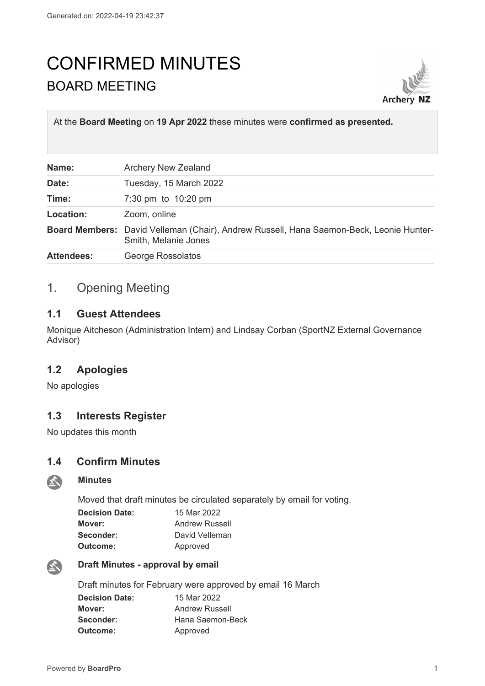# CONFIRMED MINUTES BOARD MEETING



At the **Board Meeting** on **19 Apr 2022** these minutes were **confirmed as presented.**

| Name:             | <b>Archery New Zealand</b>                                                                                      |
|-------------------|-----------------------------------------------------------------------------------------------------------------|
| Date:             | Tuesday, 15 March 2022                                                                                          |
| Time:             | 7:30 pm to 10:20 pm                                                                                             |
| Location:         | Zoom, online                                                                                                    |
|                   | Board Members: David Velleman (Chair), Andrew Russell, Hana Saemon-Beck, Leonie Hunter-<br>Smith, Melanie Jones |
| <b>Attendees:</b> | George Rossolatos                                                                                               |

# 1. Opening Meeting

## **1.1 Guest Attendees**

Monique Aitcheson (Administration Intern) and Lindsay Corban (SportNZ External Governance Advisor)

# **1.2 Apologies**

No apologies

# **1.3 Interests Register**

No updates this month

**Minutes**

## **1.4 Confirm Minutes**

# $\sum_{i=1}^{n}$

Moved that draft minutes be circulated separately by email for voting.

| <b>Decision Date:</b> | 15 Mar 2022           |
|-----------------------|-----------------------|
| Mover:                | <b>Andrew Russell</b> |
| Seconder:             | David Velleman        |
| Outcome:              | Approved              |



#### **Draft Minutes - approval by email**

Draft minutes for February were approved by email 16 March

| <b>Decision Date:</b> | 15 Mar 2022           |
|-----------------------|-----------------------|
| Mover:                | <b>Andrew Russell</b> |
| Seconder:             | Hana Saemon-Beck      |
| <b>Outcome:</b>       | Approved              |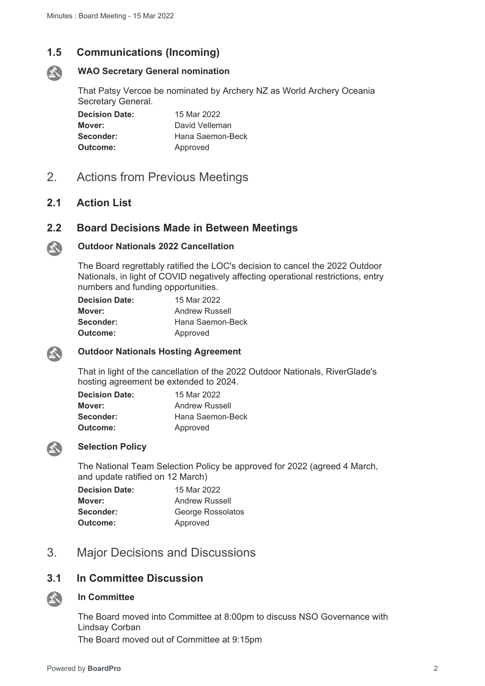# **1.5 Communications (Incoming)**



#### **WAO Secretary General nomination**

That Patsy Vercoe be nominated by Archery NZ as World Archery Oceania Secretary General.

**Decision Date:** 15 Mar 2022 **Mover:** David Velleman **Seconder:** Hana Saemon-Beck **Outcome:** Approved

2. Actions from Previous Meetings

# **2.1 Action List**

# **2.2 Board Decisions Made in Between Meetings**



# **Outdoor Nationals 2022 Cancellation**

The Board regrettably ratified the LOC's decision to cancel the 2022 Outdoor Nationals, in light of COVID negatively affecting operational restrictions, entry numbers and funding opportunities.

| <b>Decision Date:</b> | 15 Mar 2022           |
|-----------------------|-----------------------|
| Mover:                | <b>Andrew Russell</b> |
| Seconder:             | Hana Saemon-Beck      |
| Outcome:              | Approved              |



#### **Outdoor Nationals Hosting Agreement**

That in light of the cancellation of the 2022 Outdoor Nationals, RiverGlade's hosting agreement be extended to 2024.

| <b>Decision Date:</b> | 15 Mar 2022           |
|-----------------------|-----------------------|
| Mover:                | <b>Andrew Russell</b> |
| Seconder:             | Hana Saemon-Beck      |
| Outcome:              | Approved              |



#### **Selection Policy**

The National Team Selection Policy be approved for 2022 (agreed 4 March, and update ratified on 12 March)

| <b>Decision Date:</b> | 15 Mar 2022       |
|-----------------------|-------------------|
| Mover:                | Andrew Russell    |
| Seconder:             | George Rossolatos |
| <b>Outcome:</b>       | Approved          |

# 3. Major Decisions and Discussions

# **3.1 In Committee Discussion**

#### **In Committee** 公

The Board moved into Committee at 8:00pm to discuss NSO Governance with Lindsay Corban The Board moved out of Committee at 9:15pm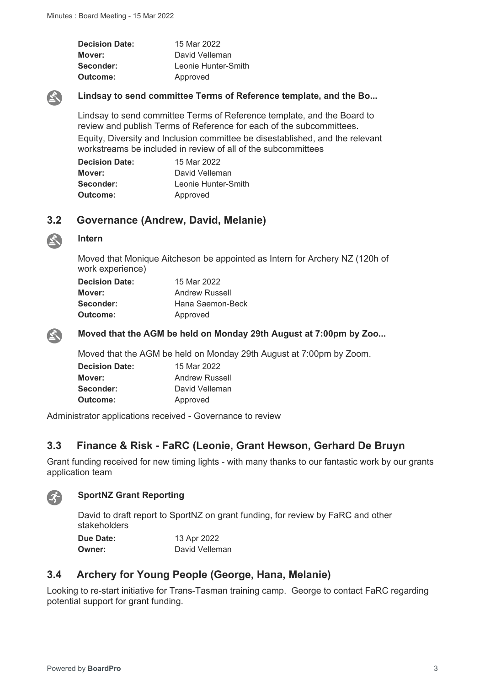| <b>Decision Date:</b> | 15 Mar 2022         |
|-----------------------|---------------------|
| Mover:                | David Velleman      |
| Seconder:             | Leonie Hunter-Smith |
| Outcome:              | Approved            |



#### **Lindsay to send committee Terms of Reference template, and the Bo...**

Lindsay to send committee Terms of Reference template, and the Board to review and publish Terms of Reference for each of the subcommittees. Equity, Diversity and Inclusion committee be disestablished, and the relevant workstreams be included in review of all of the subcommittees

| <b>Decision Date:</b> | 15 Mar 2022         |
|-----------------------|---------------------|
| Mover:                | David Velleman      |
| Seconder:             | Leonie Hunter-Smith |
| Outcome:              | Approved            |

# **3.2 Governance (Andrew, David, Melanie)**

#### **Intern**

Moved that Monique Aitcheson be appointed as Intern for Archery NZ (120h of work experience)

| <b>Decision Date:</b> | 15 Mar 2022           |
|-----------------------|-----------------------|
| Mover:                | <b>Andrew Russell</b> |
| Seconder:             | Hana Saemon-Beck      |
| Outcome:              | Approved              |



 $\mathbf{A}$ 

**Moved that the AGM be held on Monday 29th August at 7:00pm by Zoo...**

Moved that the AGM be held on Monday 29th August at 7:00pm by Zoom.

| <b>Decision Date:</b> | 15 Mar 2022           |
|-----------------------|-----------------------|
| Mover:                | <b>Andrew Russell</b> |
| Seconder:             | David Velleman        |
| Outcome:              | Approved              |

Administrator applications received - Governance to review

# **3.3 Finance & Risk - FaRC (Leonie, Grant Hewson, Gerhard De Bruyn**

Grant funding received for new timing lights - with many thanks to our fantastic work by our grants application team



#### **SportNZ Grant Reporting**

David to draft report to SportNZ on grant funding, for review by FaRC and other stakeholders

**Due Date:** 13 Apr 2022 **Owner:** David Velleman

# **3.4 Archery for Young People (George, Hana, Melanie)**

Looking to re-start initiative for Trans-Tasman training camp. George to contact FaRC regarding potential support for grant funding.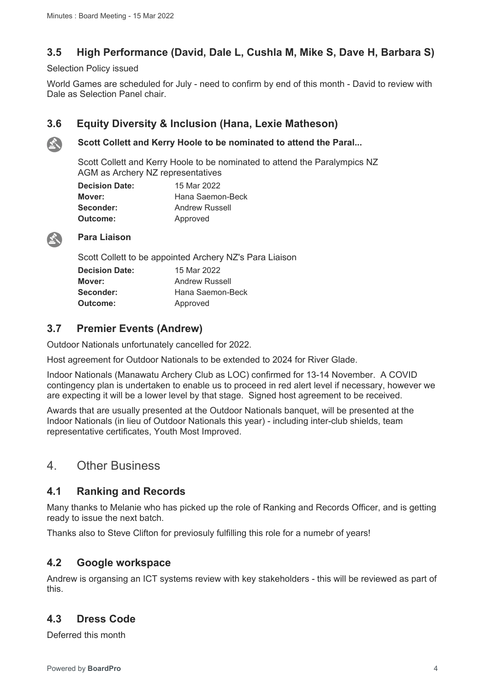# **3.5 High Performance (David, Dale L, Cushla M, Mike S, Dave H, Barbara S)**

Selection Policy issued

World Games are scheduled for July - need to confirm by end of this month - David to review with Dale as Selection Panel chair.

# **3.6 Equity Diversity & Inclusion (Hana, Lexie Matheson)**



## **Scott Collett and Kerry Hoole to be nominated to attend the Paral...**

Scott Collett and Kerry Hoole to be nominated to attend the Paralympics NZ AGM as Archery NZ representatives

| <b>Decision Date:</b> | 15 Mar 2022           |
|-----------------------|-----------------------|
| Mover:                | Hana Saemon-Beck      |
| Seconder:             | <b>Andrew Russell</b> |
| Outcome:              | Approved              |



### **Para Liaison**

Scott Collett to be appointed Archery NZ's Para Liaison

| <b>Decision Date:</b> | 15 Mar 2022           |
|-----------------------|-----------------------|
| Mover:                | <b>Andrew Russell</b> |
| Seconder:             | Hana Saemon-Beck      |
| Outcome:              | Approved              |

# **3.7 Premier Events (Andrew)**

Outdoor Nationals unfortunately cancelled for 2022.

Host agreement for Outdoor Nationals to be extended to 2024 for River Glade.

Indoor Nationals (Manawatu Archery Club as LOC) confirmed for 13-14 November. A COVID contingency plan is undertaken to enable us to proceed in red alert level if necessary, however we are expecting it will be a lower level by that stage. Signed host agreement to be received.

Awards that are usually presented at the Outdoor Nationals banquet, will be presented at the Indoor Nationals (in lieu of Outdoor Nationals this year) - including inter-club shields, team representative certificates, Youth Most Improved.

# 4. Other Business

# **4.1 Ranking and Records**

Many thanks to Melanie who has picked up the role of Ranking and Records Officer, and is getting ready to issue the next batch.

Thanks also to Steve Clifton for previosuly fulfilling this role for a numebr of years!

# **4.2 Google workspace**

Andrew is organsing an ICT systems review with key stakeholders - this will be reviewed as part of this.

# **4.3 Dress Code**

Deferred this month